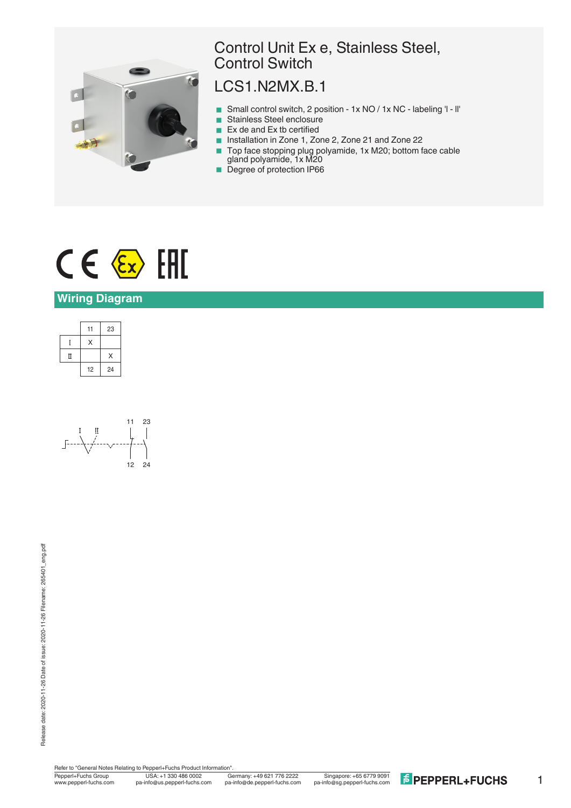

## Control Unit Ex e, Stainless Steel, Control Switch

## LCS1.N2MX.B.1

- Small control switch, 2 position 1x NO / 1x NC labeling 'l ll'
- Stainless Steel enclosure
- Ex de and Ex tb certified<br>■ Installation in Zone 1, Zo
- < Installation in Zone 1, Zone 2, Zone 21 and Zone 22
- Top face stopping plug polyamide, 1x M20; bottom face cable gland polyamide, 1x M20
- **Degree of protection IP66**

# $C \in \langle \overline{\epsilon_x} \rangle$  [FII]

#### **Wiring Diagram**





Refer to "General Notes Relating to Pepperl+Fuchs Product Information"<br>Pepperl+Fuchs Group USA: +1 330 486 0002 G<br>www.pepperl-fuchs.com pa-info@us.pepperl-fuchs.com pa

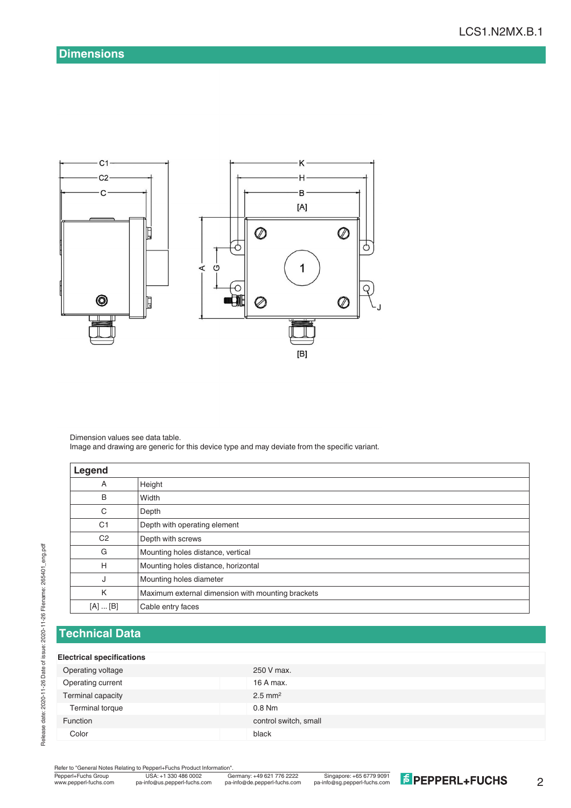

Dimension values see data table. Image and drawing are generic for this device type and may deviate from the specific variant.

| Legend         |                                                   |
|----------------|---------------------------------------------------|
| Α              | Height                                            |
| B              | Width                                             |
| C              | Depth                                             |
| C <sub>1</sub> | Depth with operating element                      |
| C <sub>2</sub> | Depth with screws                                 |
| G              | Mounting holes distance, vertical                 |
| H              | Mounting holes distance, horizontal               |
| J              | Mounting holes diameter                           |
| K              | Maximum external dimension with mounting brackets |
| [A]  [B]       | Cable entry faces                                 |

### **Technical Data**

#### **Electrical specifications**

| Operating voltage | 250 V max.            |
|-------------------|-----------------------|
| Operating current | 16 A max.             |
| Terminal capacity | $2.5$ mm <sup>2</sup> |
| Terminal torque   | $0.8$ Nm              |
| <b>Function</b>   | control switch, small |
| Color             | black                 |
|                   |                       |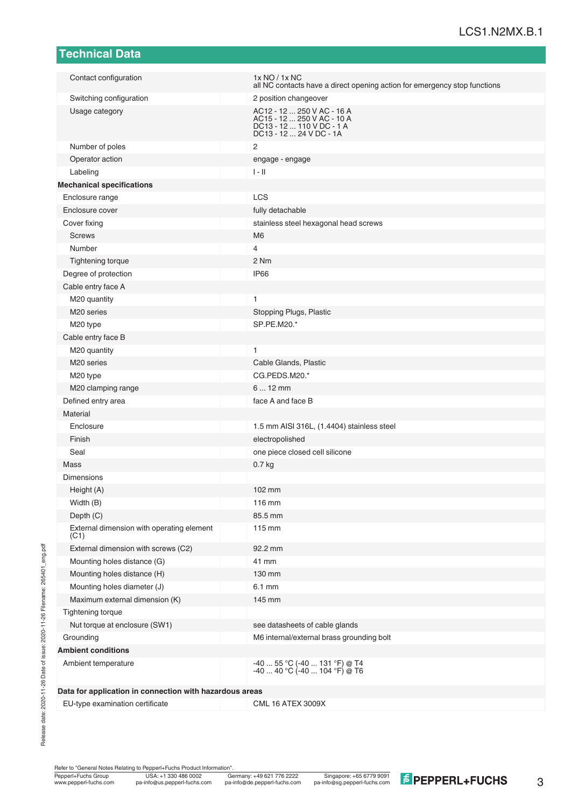| Technical Data                                          |                                                                                                                  |
|---------------------------------------------------------|------------------------------------------------------------------------------------------------------------------|
| Contact configuration                                   | 1x NO / 1x NC                                                                                                    |
|                                                         | all NC contacts have a direct opening action for emergency stop functions                                        |
| Switching configuration                                 | 2 position changeover                                                                                            |
| Usage category                                          | AC12 - 12  250 V AC - 16 A<br>AC15 - 12  250 V AC - 10 A<br>DC13 - 12  110 V DC - 1 A<br>DC13 - 12  24 V DC - 1A |
| Number of poles                                         | $\overline{2}$                                                                                                   |
| Operator action                                         | engage - engage                                                                                                  |
| Labeling                                                | $I - II$                                                                                                         |
| <b>Mechanical specifications</b>                        |                                                                                                                  |
| Enclosure range                                         | LCS                                                                                                              |
| Enclosure cover                                         | fully detachable                                                                                                 |
| Cover fixing                                            | stainless steel hexagonal head screws                                                                            |
| <b>Screws</b>                                           | M <sub>6</sub>                                                                                                   |
| Number                                                  | 4                                                                                                                |
| <b>Tightening torque</b>                                | 2 Nm                                                                                                             |
| Degree of protection                                    | <b>IP66</b>                                                                                                      |
| Cable entry face A                                      |                                                                                                                  |
| M20 quantity                                            | 1                                                                                                                |
| M <sub>20</sub> series                                  | Stopping Plugs, Plastic                                                                                          |
| M20 type                                                | SP.PE.M20.*                                                                                                      |
| Cable entry face B                                      |                                                                                                                  |
| M20 quantity                                            | 1                                                                                                                |
| M <sub>20</sub> series                                  | Cable Glands, Plastic                                                                                            |
| M20 type                                                | CG.PEDS.M20.*                                                                                                    |
| M20 clamping range                                      | $612$ mm                                                                                                         |
| Defined entry area                                      | face A and face B                                                                                                |
| Material                                                |                                                                                                                  |
| Enclosure                                               | 1.5 mm AISI 316L, (1.4404) stainless steel                                                                       |
| Finish                                                  | electropolished                                                                                                  |
| Seal                                                    | one piece closed cell silicone                                                                                   |
| Mass                                                    | 0.7 <sub>kg</sub>                                                                                                |
| Dimensions                                              |                                                                                                                  |
| Height (A)                                              | 102 mm                                                                                                           |
| Width (B)                                               | 116 mm                                                                                                           |
| Depth (C)                                               | 85.5 mm                                                                                                          |
| External dimension with operating element<br>(C1)       | 115 mm                                                                                                           |
| External dimension with screws (C2)                     | 92.2 mm                                                                                                          |
| Mounting holes distance (G)                             | 41 mm                                                                                                            |
| Mounting holes distance (H)                             | 130 mm                                                                                                           |
| Mounting holes diameter (J)                             | 6.1 mm                                                                                                           |
| Maximum external dimension (K)                          | 145 mm                                                                                                           |
| Tightening torque                                       |                                                                                                                  |
| Nut torque at enclosure (SW1)                           | see datasheets of cable glands                                                                                   |
| Grounding                                               | M6 internal/external brass grounding bolt                                                                        |
| <b>Ambient conditions</b>                               |                                                                                                                  |
| Ambient temperature                                     | $-4055$ °C ( $-40131$ °F) @ T4<br>$-40$ 40 °C ( $-40$ 104 °F) @ T6                                               |
| Data for application in connection with hazardous areas |                                                                                                                  |

EU-type examination certificate CML 16 ATEX 3009X

Release date: 2020-11-26 Date of issue: 2020-11-26 Filename: 265401\_eng.pdf

Release date: 2020-11-26 Date of issue: 2020-11-26 Filename: 265401\_eng.pdf